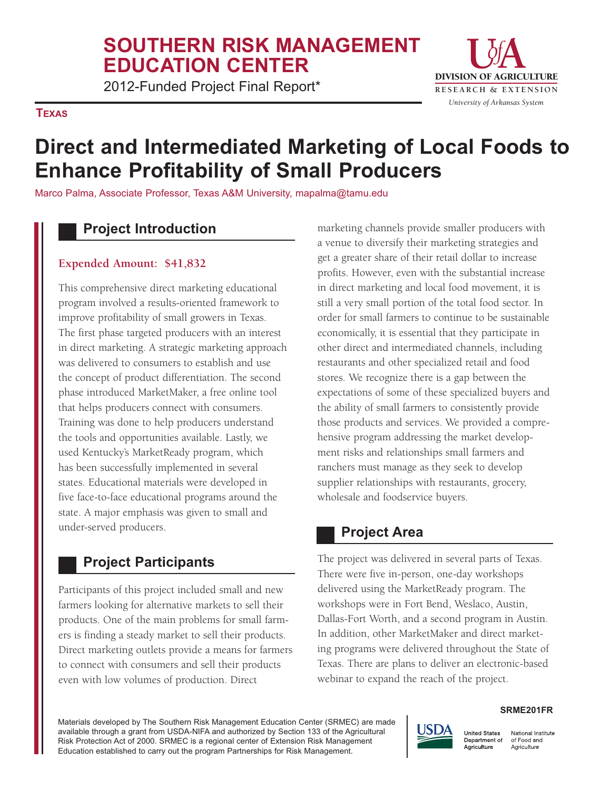## **SOUTHERN RISK MANAGEMENT EDUCATION CENTER**

2012-Funded Project Final Report\* The Research & EXTENSION

#### **TEXAS**



# **Direct and Intermediated Marketing of Local Foods to Enhance Profitability of Small Producers**

Marco Palma, Associate Professor, Texas A&M University, mapalma@tamu.edu

### **Project Introduction**

#### **Expended Amount: \$41,832**

 This comprehensive direct marketing educational program involved a results-oriented framework to improve profitability of small growers in Texas. The first phase targeted producers with an interest in direct marketing. A strategic marketing approach was delivered to consumers to establish and use the concept of product differentiation. The second phase introduced MarketMaker, a free online tool that helps producers connect with consumers. Training was done to help producers understand the tools and opportunities available. Lastly, we used Kentucky's MarketReady program, which has been successfully implemented in several states. Educational materials were developed in five face-to-face educational programs around the state. A major emphasis was given to small and under-served producers.

## **Project Participants**

 Participants of this project included small and new farmers looking for alternative markets to sell their products. One of the main problems for small farm- ers is finding a steady market to sell their products. Direct marketing outlets provide a means for farmers to connect with consumers and sell their products even with low volumes of production. Direct

 marketing channels provide smaller producers with a venue to diversify their marketing strategies and get a greater share of their retail dollar to increase profits. However, even with the substantial increase in direct marketing and local food movement, it is still a very small portion of the total food sector. In order for small farmers to continue to be sustainable economically, it is essential that they participate in other direct and intermediated channels, including restaurants and other specialized retail and food stores. We recognize there is a gap between the expectations of some of these specialized buyers and the ability of small farmers to consistently provide those products and services. We provided a compre- hensive program addressing the market develop- ment risks and relationships small farmers and ranchers must manage as they seek to develop supplier relationships with restaurants, grocery, wholesale and foodservice buyers.

#### **Project Area**

 The project was delivered in several parts of Texas. There were five in-person, one-day workshops delivered using the MarketReady program. The workshops were in Fort Bend, Weslaco, Austin, Dallas-Fort Worth, and a second program in Austin. In addition, other MarketMaker and direct market- ing programs were delivered throughout the State of Texas. There are plans to deliver an electronic-based webinar to expand the reach of the project.

 Materials developed by The Southern Risk Management Education Center (SRMEC) are made available through a grant from USDA-NIFA and authorized by Section 133 of the Agricultural Risk Protection Act of 2000. SRMEC is a regional center of Extension Risk Management Education established to carry out the program Partnerships for Risk Management.

#### **JSDA United States** Department of Agriculture

National Institute of Food and Agriculture

**SRME201FR**